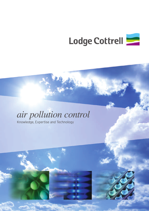

# *air pollution control*

Knowledge, Expertise and Technology



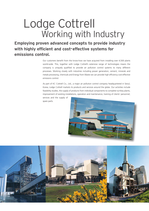# Lodge Cottrell Working with Industry

**Employing proven advanced concepts to provide industry with highly efficient and cost-effective systems for emissions control.**

> Our customers benefit from the know-how we have acquired from installing over 4,500 plants world-wide. This, together with Lodge Cottrell's extensive range of technologies means the company is uniquely qualified to provide air pollution control systems to many different processes. Working closely with industries including power generation, cement, minerals and metals processing, chemicals and Energy from Waste we can provide high efficiency cost-effective emissions control.

> As part of KC Cottrell Co., Ltd., a major air pollution control company headquartered in Seoul, Korea, Lodge Cottrell markets its products and services around the globe. Our activities include feasibility studies, the supply of products from individual components to complete turnkey plants, improvement of existing installations, operation and maintenance, training of clients' personnel,

services and the supply of spare parts.



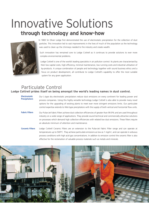## Innovative Solutions **through technology and know-how**



In 1883 Sir Oliver Lodge first demonstrated the use of electrostatic precipitation for the collection of dust particles. This innovation led to vast improvements in the lives of much of the population as the technology was used to clean up the chimneys needed to fire industry and create wealth.

Such innovation has remained core to Lodge Cottrell as it continues to provide solutions to ever more complex environmental problems.

Lodge Cottrell is one of the world's leading specialists in air pollution control. Its plants are characterised by their low capital costs, high efficiency, minimal maintenance, low running costs and industrial utilisation of by-products. A unique combination of people and technology together with sound business ethics and a focus on product development, all contribute to Lodge Cottrell's capability to offer the most suitable system for any given application.

#### Particulate Control **Lodge Cottrell prides itself on being amongst the world's leading names in dust control.**

- Our L-type dry electrostatic precipitators reduce dust emissions on every continent for leading power and process companies. Using this highly versatile technology Lodge Cottrell is also able to provide many novel options for the upgrading of existing plants to meet ever more stringent emissions limits. Our particulate control expertise extends to Wet-type precipitators with the supply of both vertical and horizontal flow units. **Electrostatic Precipitators**
- Our Pulse-Jet Fabric Filters achieve dust collection efficiencies of greater than 99.9% and are used throughout industry on a wide range of applications. They provide sound technical and commercially attractive solutions on processes which demand high collection efficiencies with related low dust emissions. These filters require an absolute minimum of attention and maintenance. **Fabric Filters**
- Lodge Cottrell Ceramic Filters are an extension to the Pulse-Jet Fabric Filter range and can operate at temperatures up to 500°C. They achieve particulate emissions as low as 1 mg/m<sup>3</sup>, and can operate in arduous process conditions with high acid gas concentrations. In additon to emission control the ceramic filter is also effective for the reclamation of valuable process materials such as metals and minerals. **Ceramic Filters**

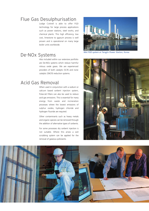## Flue Gas Desulphurisation

Lodge Cottrell is able to offer FGD technology for large process applications such as power stations, steel works, and chemical plants. This high efficiency, low cost, limestone to gypsum process is well proven and is operational on many large boiler units worldwide.

## De-NOx Systems

Also included within our extensive portfolio are De-NOx systems which reduce harmful nitrous oxide gases. We are experienced providers of both catalytic (SCR) and none catalytic (SNCR) reduction systems.

### Acid Gas Removal

When used in conjunction with a sodium or calcium based sorbent injection system, Pulse-Jet Filters can also be used to reduce acid gas emissions. This is essential for many energy from waste and incineration processes where the lowest emissions of sulphur oxides, hydrogen chloride and hydrogen fluoride are required.

Other contaminants such as heavy metals and organic species can be removed through the addition of alternative types of sorbents.

For some processes dry sorbent injection is not suitable. Where this arises a wet scrubbing system can be applied for the removal of gaseous pollutants.



*Wet FGD system at Tangjin Power Station, Korea*



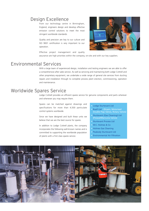## Design Excellence

From our technology centre in Birmingham, England, engineers design and develop effective emission control solutions to meet the most stringent worldwide standards.

Quality and precision are key to our culture and ISO 9001 certification is very important to our operation.

Effective project management and quality



assurance are high priorities within the company, on-site and with our key suppliers.

#### Environmental Services

With a large team of experienced design, installation and testing engineers we are able to offer a comprehensive after sales service. As well as servicing and maintaining both Lodge Cottrell and other proprietary equipment, we undertake a wide range of general site services from ducting repairs and installation through to complete process plant erection, commissioning, operation and maintenance.

## Worldwide Spares Service

Lodge Cottrell provides an efficient spares service for genuine components and parts wherever and whenever you may require them.

Spares can be matched against drawings and specifications for more than 4,500 particulate control systems worldwide.

Since we have designed and built these units we believe that we are the best source for spares.

In addition to Lodge Cottrell plants, the company incorporates the following well-known names and is committed to supporting the worldwide population of plants with a first class spares service.

- Lodge Sturtevant Ltd
- Buell Ltd (Dryers, Motorised Double Flap Valves, Rotary Valves)
- Sturtevant (Gas Cleaning) Ltd (Floseal/Mancuna Valves)
- Sturtevant Process Ltd
- W.C. Holmes & Co
- Holmes Gas Cleaning
- Peabody Sturtevant Ltd
- Environmental Air Filtration